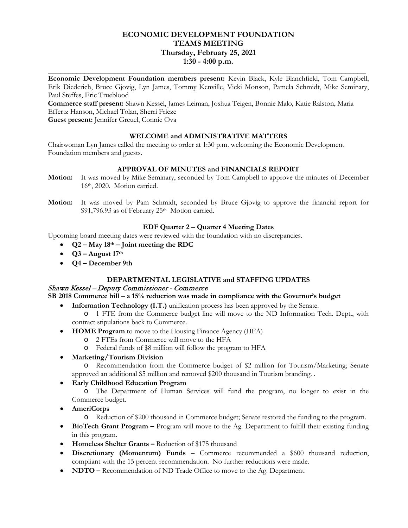# **ECONOMIC DEVELOPMENT FOUNDATION TEAMS MEETING Thursday, February 25, 2021 1:30 - 4:00 p.m.**

**\_\_\_\_\_\_\_\_\_\_\_\_\_\_\_\_\_\_\_\_\_\_\_\_\_\_\_\_\_\_\_\_\_\_\_\_\_\_\_\_\_\_\_\_\_\_\_\_\_\_\_\_\_\_\_\_\_\_\_\_\_\_\_\_\_\_\_\_\_\_\_\_\_\_\_\_\_\_ Economic Development Foundation members present:** Kevin Black, Kyle Blanchfield, Tom Campbell, Erik Diederich, Bruce Gjovig, Lyn James, Tommy Kenville, Vicki Monson, Pamela Schmidt, Mike Seminary, Paul Steffes, Eric Trueblood

**Commerce staff present:** Shawn Kessel, James Leiman, Joshua Teigen, Bonnie Malo, Katie Ralston, Maria Effertz Hanson, Michael Tolan, Sherri Frieze **Guest present:** Jennifer Greuel, Connie Ova

**WELCOME and ADMINISTRATIVE MATTERS** 

Chairwoman Lyn James called the meeting to order at 1:30 p.m. welcoming the Economic Development Foundation members and guests.

# **APPROVAL OF MINUTES and FINANCIALS REPORT**

- **Motion:** It was moved by Mike Seminary, seconded by Tom Campbell to approve the minutes of December 16th, 2020. Motion carried.
- **Motion:** It was moved by Pam Schmidt, seconded by Bruce Gjovig to approve the financial report for \$91,796.93 as of February 25<sup>th</sup> Motion carried.

## **EDF Quarter 2 – Quarter 4 Meeting Dates**

Upcoming board meeting dates were reviewed with the foundation with no discrepancies.

- **Q2 – May 18th – Joint meeting the RDC**
- $Q3 -$ **August** 17<sup>th</sup>
- **Q4 – December 9th**

## **DEPARTMENTAL LEGISLATIVE and STAFFING UPDATES**

## Shawn Kessel – Deputy Commissioner - Commerce

**SB 2018 Commerce bill – a 15% reduction was made in compliance with the Governor's budget**

• **Information Technology (I.T.)** unification process has been approved by the Senate.

o 1 FTE from the Commerce budget line will move to the ND Information Tech. Dept., with contract stipulations back to Commerce.

- **HOME Program** to move to the Housing Finance Agency (HFA)
	- o 2 FTEs from Commerce will move to the HFA
	- o Federal funds of \$8 million will follow the program to HFA
- **Marketing/Tourism Division**

o Recommendation from the Commerce budget of \$2 million for Tourism/Marketing; Senate approved an additional \$5 million and removed \$200 thousand in Tourism branding. .

• **Early Childhood Education Program**

o The Department of Human Services will fund the program, no longer to exist in the Commerce budget.

- **AmeriCorps**
	- o Reduction of \$200 thousand in Commerce budget; Senate restored the funding to the program.
- **BioTech Grant Program –** Program will move to the Ag. Department to fulfill their existing funding in this program.
- **Homeless Shelter Grants –** Reduction of \$175 thousand
- **Discretionary (Momentum) Funds –** Commerce recommended a \$600 thousand reduction, compliant with the 15 percent recommendation. No further reductions were made.
- **NDTO** Recommendation of ND Trade Office to move to the Ag. Department.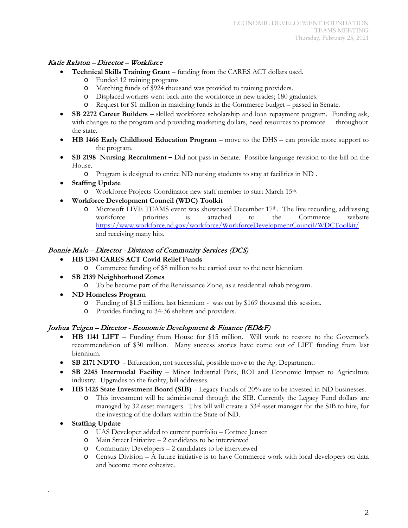## Katie Ralston – Director – Workforce

- **Technical Skills Training Grant** funding from the CARES ACT dollars used.
	- o Funded 12 training programs
	- Matching funds of \$924 thousand was provided to training providers.
	- o Displaced workers went back into the workforce in new trades; 180 graduates.
	- o Request for \$1 million in matching funds in the Commerce budget passed in Senate.
- **SB 2272 Career Builders –** skilled workforce scholarship and loan repayment program. Funding ask, with changes to the program and providing marketing dollars, need resources to promote throughout the state.
- **HB 1466 Early Childhood Education Program**  move to the DHS can provide more support to the program.
- **SB 2198 Nursing Recruitment –** Did not pass in Senate. Possible language revision to the bill on the House.
	- o Program is designed to entice ND nursing students to stay at facilities in ND .
- **Staffing Update**
	- o Workforce Projects Coordinator new staff member to start March 15th.
- **Workforce Development Council (WDC) Toolkit**
	- o Microsoft LIVE TEAMS event was showcased December 17<sup>th</sup>. The live recording, addressing<br>workforce priorities is attached to the Commerce website Commerce <https://www.workforce.nd.gov/workforce/WorkforceDevelopmentCouncil/WDCToolkit/> and receiving many hits.

## Bonnie Malo – Director - Division of Community Services (DCS)

- **HB 1394 CARES ACT Covid Relief Funds**
	- o Commerce funding of \$8 million to be carried over to the next biennium
- **SB 2139 Neighborhood Zones** 
	- o To be become part of the Renaissance Zone, as a residential rehab program.
- **ND Homeless Program**
	- o Funding of \$1.5 million, last biennium was cut by \$169 thousand this session.
	- Provides funding to 34-36 shelters and providers.

## Joshua Teigen – Director - Economic Development & Finance (ED&F)

- **HB 1141 LIFT** Funding from House for \$15 million. Will work to restore to the Governor's recommendation of \$30 million. Many success stories have come out of LIFT funding from last biennium.
- **SB 2171 NDTO** Bifurcation, not successful, possible move to the Ag. Department.
- **SB 2245 Intermodal Facility** Minot Industrial Park, ROI and Economic Impact to Agriculture industry. Upgrades to the facility, bill addresses.
- **HB 1425 State Investment Board (SIB)**  Legacy Funds of 20% are to be invested in ND businesses.
	- o This investment will be administered through the SIB. Currently the Legacy Fund dollars are managed by 32 asset managers. This bill will create a 33rd asset manager for the SIB to hire, for the investing of the dollars within the State of ND.
- **Staffing Update**

.

- o UAS Developer added to current portfolio Cortnee Jensen
- o Main Street Initiative 2 candidates to be interviewed
- o Community Developers 2 candidates to be interviewed
- o Census Division A future initiative is to have Commerce work with local developers on data and become more cohesive.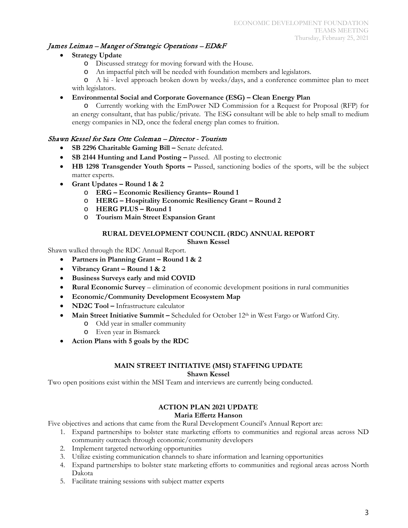# James Leiman – Manger of Strategic Operations – ED&F

- **Strategy Update** 
	- o Discussed strategy for moving forward with the House.
	- o An impactful pitch will be needed with foundation members and legislators.

o A hi - level approach broken down by weeks/days, and a conference committee plan to meet with legislators.

• **Environmental Social and Corporate Governance (ESG) – Clean Energy Plan**

o Currently working with the EmPower ND Commission for a Request for Proposal (RFP) for an energy consultant, that has public/private. The ESG consultant will be able to help small to medium energy companies in ND, once the federal energy plan comes to fruition.

# Shawn Kessel for Sara Otte Coleman – Director - Tourism

- **SB 2296 Charitable Gaming Bill –** Senate defeated.
- **SB 2144 Hunting and Land Posting –** Passed. All posting to electronic
- **HB 1298 Transgender Youth Sports –** Passed, sanctioning bodies of the sports, will be the subject matter experts.
- **Grant Updates – Round 1 & 2**
	- o **ERG – Economic Resiliency Grants– Round 1**
	- o **HERG – Hospitality Economic Resiliency Grant – Round 2**
	- o **HERG PLUS – Round 1**
	- o **Tourism Main Street Expansion Grant**

#### **RURAL DEVELOPMENT COUNCIL (RDC) ANNUAL REPORT Shawn Kessel**

Shawn walked through the RDC Annual Report.

- **Partners in Planning Grant – Round 1 & 2**
- **Vibrancy Grant – Round 1 & 2**
- **Business Surveys early and mid COVID**
- **Rural Economic Survey**  elimination of economic development positions in rural communities
- **Economic/Community Development Ecosystem Map**
- **ND2C Tool –** Infrastructure calculator
- **Main Street Initiative Summit –** Scheduled for October 12<sup>th</sup> in West Fargo or Watford City.
	- o Odd year in smaller community
	- o Even year in Bismarck
- **Action Plans with 5 goals by the RDC**

### **MAIN STREET INITIATIVE (MSI) STAFFING UPDATE Shawn Kessel**

Two open positions exist within the MSI Team and interviews are currently being conducted.

# **ACTION PLAN 2021 UPDATE**

## **Maria Effertz Hanson**

Five objectives and actions that came from the Rural Development Council's Annual Report are:

- 1. Expand partnerships to bolster state marketing efforts to communities and regional areas across ND community outreach through economic/community developers
- 2. Implement targeted networking opportunities
- 3. Utilize existing communication channels to share information and learning opportunities
- 4. Expand partnerships to bolster state marketing efforts to communities and regional areas across North Dakota
- 5. Facilitate training sessions with subject matter experts